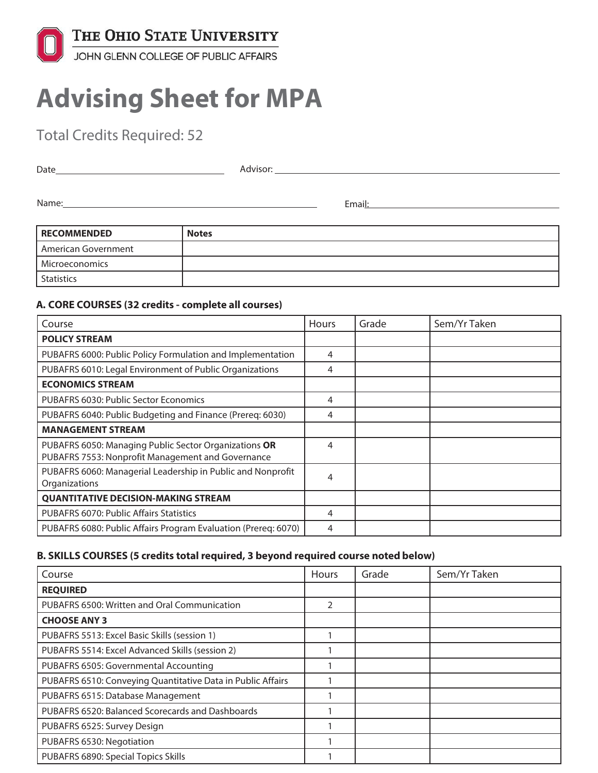

# **Advising Sheet for MPA**

Total Credits Required: 52

| Date  | Advisor: |
|-------|----------|
|       |          |
| Name: | Email:   |
|       |          |

| <b>RECOMMENDED</b>  | <b>Notes</b> |
|---------------------|--------------|
| American Government |              |
| Microeconomics      |              |
| <b>Statistics</b>   |              |

#### **A. CORE COURSES (32 credits - complete all courses)**

| Course                                                                                                     | Hours | Grade | Sem/Yr Taken |
|------------------------------------------------------------------------------------------------------------|-------|-------|--------------|
| <b>POLICY STREAM</b>                                                                                       |       |       |              |
| PUBAFRS 6000: Public Policy Formulation and Implementation                                                 | 4     |       |              |
| PUBAFRS 6010: Legal Environment of Public Organizations                                                    | 4     |       |              |
| <b>ECONOMICS STREAM</b>                                                                                    |       |       |              |
| PUBAFRS 6030: Public Sector Economics                                                                      | 4     |       |              |
| PUBAFRS 6040: Public Budgeting and Finance (Prereq: 6030)                                                  | 4     |       |              |
| <b>MANAGEMENT STREAM</b>                                                                                   |       |       |              |
| PUBAFRS 6050: Managing Public Sector Organizations OR<br>PUBAFRS 7553: Nonprofit Management and Governance | 4     |       |              |
| PUBAFRS 6060: Managerial Leadership in Public and Nonprofit<br>Organizations                               | 4     |       |              |
| <b>QUANTITATIVE DECISION-MAKING STREAM</b>                                                                 |       |       |              |
| <b>PUBAFRS 6070: Public Affairs Statistics</b>                                                             | 4     |       |              |
| PUBAFRS 6080: Public Affairs Program Evaluation (Prereg: 6070)                                             | 4     |       |              |

## **B. SKILLS COURSES (5 credits total required, 3 beyond required course noted below)**

| Course                                                      | Hours | Grade | Sem/Yr Taken |
|-------------------------------------------------------------|-------|-------|--------------|
| <b>REQUIRED</b>                                             |       |       |              |
| PUBAFRS 6500: Written and Oral Communication                | 2     |       |              |
| <b>CHOOSE ANY 3</b>                                         |       |       |              |
| PUBAFRS 5513: Excel Basic Skills (session 1)                |       |       |              |
| PUBAFRS 5514: Excel Advanced Skills (session 2)             |       |       |              |
| PUBAFRS 6505: Governmental Accounting                       |       |       |              |
| PUBAFRS 6510: Conveying Quantitative Data in Public Affairs |       |       |              |
| PUBAFRS 6515: Database Management                           |       |       |              |
| PUBAFRS 6520: Balanced Scorecards and Dashboards            |       |       |              |
| PUBAFRS 6525: Survey Design                                 |       |       |              |
| PUBAFRS 6530: Negotiation                                   |       |       |              |
| PUBAFRS 6890: Special Topics Skills                         |       |       |              |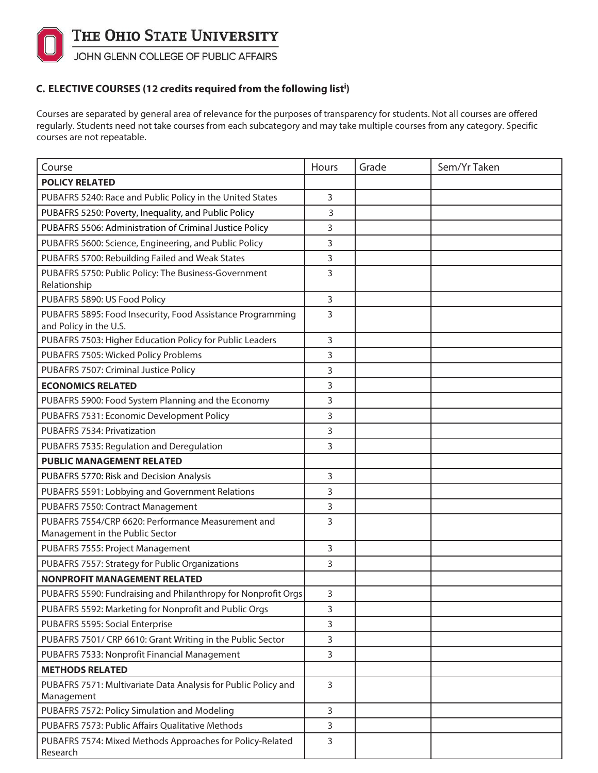

## **C. ELECTIVE COURSES (12 credits required from the following list<sup>i</sup> )**

Courses are separated by general area of relevance for the purposes of transparency for students. Not all courses are offered regularly. Students need not take courses from each subcategory and may take multiple courses from any category. Specific courses are not repeatable.

| Course                                                                                | Hours          | Grade | Sem/Yr Taken |
|---------------------------------------------------------------------------------------|----------------|-------|--------------|
| <b>POLICY RELATED</b>                                                                 |                |       |              |
| PUBAFRS 5240: Race and Public Policy in the United States                             | $\overline{3}$ |       |              |
| PUBAFRS 5250: Poverty, Inequality, and Public Policy                                  | 3              |       |              |
| PUBAFRS 5506: Administration of Criminal Justice Policy                               | 3              |       |              |
| PUBAFRS 5600: Science, Engineering, and Public Policy                                 | 3              |       |              |
| PUBAFRS 5700: Rebuilding Failed and Weak States                                       | 3              |       |              |
| PUBAFRS 5750: Public Policy: The Business-Government<br>Relationship                  | 3              |       |              |
| PUBAFRS 5890: US Food Policy                                                          | $\overline{3}$ |       |              |
| PUBAFRS 5895: Food Insecurity, Food Assistance Programming<br>and Policy in the U.S.  | 3              |       |              |
| PUBAFRS 7503: Higher Education Policy for Public Leaders                              | $\overline{3}$ |       |              |
| PUBAFRS 7505: Wicked Policy Problems                                                  | 3              |       |              |
| PUBAFRS 7507: Criminal Justice Policy                                                 | 3              |       |              |
| <b>ECONOMICS RELATED</b>                                                              | 3              |       |              |
| PUBAFRS 5900: Food System Planning and the Economy                                    | 3              |       |              |
| PUBAFRS 7531: Economic Development Policy                                             | 3              |       |              |
| PUBAFRS 7534: Privatization                                                           | 3              |       |              |
| PUBAFRS 7535: Regulation and Deregulation                                             | 3              |       |              |
| <b>PUBLIC MANAGEMENT RELATED</b>                                                      |                |       |              |
| PUBAFRS 5770: Risk and Decision Analysis                                              | 3              |       |              |
| PUBAFRS 5591: Lobbying and Government Relations                                       | 3              |       |              |
| PUBAFRS 7550: Contract Management                                                     | 3              |       |              |
| PUBAFRS 7554/CRP 6620: Performance Measurement and<br>Management in the Public Sector | 3              |       |              |
| PUBAFRS 7555: Project Management                                                      | 3              |       |              |
| PUBAFRS 7557: Strategy for Public Organizations                                       | 3              |       |              |
| <b>NONPROFIT MANAGEMENT RELATED</b>                                                   |                |       |              |
| PUBAFRS 5590: Fundraising and Philanthropy for Nonprofit Orgs                         | $\mathbf{3}$   |       |              |
| PUBAFRS 5592: Marketing for Nonprofit and Public Orgs                                 | 3              |       |              |
| PUBAFRS 5595: Social Enterprise                                                       | 3              |       |              |
| PUBAFRS 7501/ CRP 6610: Grant Writing in the Public Sector                            | 3              |       |              |
| PUBAFRS 7533: Nonprofit Financial Management                                          | 3              |       |              |
| <b>METHODS RELATED</b>                                                                |                |       |              |
| PUBAFRS 7571: Multivariate Data Analysis for Public Policy and<br>Management          | $\overline{3}$ |       |              |
| PUBAFRS 7572: Policy Simulation and Modeling                                          | $\overline{3}$ |       |              |
| PUBAFRS 7573: Public Affairs Qualitative Methods                                      | $\overline{3}$ |       |              |
| PUBAFRS 7574: Mixed Methods Approaches for Policy-Related<br>Research                 | 3              |       |              |